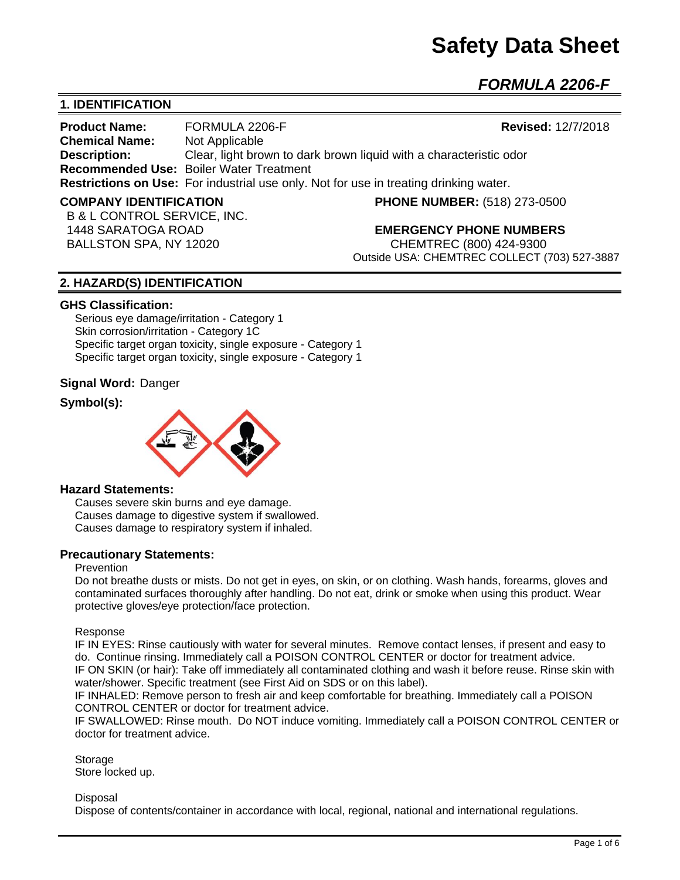# **Safety Data Sheet**

## *FORMULA 2206-F*

#### **1. IDENTIFICATION**

**Product Name:** FORMULA 2206-F **Revised:** 12/7/2018 **Chemical Name:** Not Applicable **Description:** Clear, light brown to dark brown liquid with a characteristic odor **Recommended Use:** Boiler Water Treatment **Restrictions on Use:** For industrial use only. Not for use in treating drinking water.

B & L CONTROL SERVICE, INC.

**COMPANY IDENTIFICATION PHONE NUMBER:** (518) 273-0500

#### 1448 SARATOGA ROAD **EMERGENCY PHONE NUMBERS**

 BALLSTON SPA, NY 12020 CHEMTREC (800) 424-9300 Outside USA: CHEMTREC COLLECT (703) 527-3887

#### **2. HAZARD(S) IDENTIFICATION**

#### **GHS Classification:**

Serious eye damage/irritation - Category 1 Skin corrosion/irritation - Category 1C Specific target organ toxicity, single exposure - Category 1 Specific target organ toxicity, single exposure - Category 1

#### **Signal Word:** Danger

#### **Symbol(s):**



#### **Hazard Statements:**

Causes severe skin burns and eye damage. Causes damage to digestive system if swallowed. Causes damage to respiratory system if inhaled.

#### **Precautionary Statements:**

#### **Prevention**

Do not breathe dusts or mists. Do not get in eyes, on skin, or on clothing. Wash hands, forearms, gloves and contaminated surfaces thoroughly after handling. Do not eat, drink or smoke when using this product. Wear protective gloves/eye protection/face protection.

#### Response

IF IN EYES: Rinse cautiously with water for several minutes. Remove contact lenses, if present and easy to do. Continue rinsing. Immediately call a POISON CONTROL CENTER or doctor for treatment advice. IF ON SKIN (or hair): Take off immediately all contaminated clothing and wash it before reuse. Rinse skin with water/shower. Specific treatment (see First Aid on SDS or on this label).

IF INHALED: Remove person to fresh air and keep comfortable for breathing. Immediately call a POISON CONTROL CENTER or doctor for treatment advice.

IF SWALLOWED: Rinse mouth. Do NOT induce vomiting. Immediately call a POISON CONTROL CENTER or doctor for treatment advice.

**Storage** Store locked up.

#### **Disposal**

Dispose of contents/container in accordance with local, regional, national and international regulations.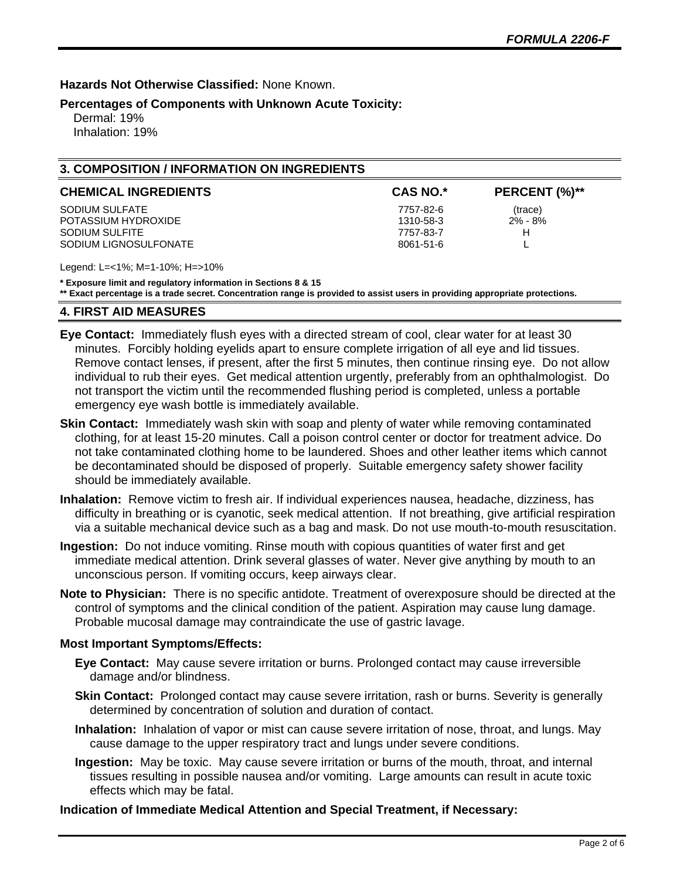**Hazards Not Otherwise Classified:** None Known.

#### **Percentages of Components with Unknown Acute Toxicity:**

 Dermal: 19% Inhalation: 19%

#### **3. COMPOSITION / INFORMATION ON INGREDIENTS**

| <b>CHEMICAL INGREDIENTS</b> | <b>CAS NO.*</b> | PERCENT (%)** |
|-----------------------------|-----------------|---------------|
| SODIUM SULFATE              | 7757-82-6       | (trace)       |
| POTASSIUM HYDROXIDE         | 1310-58-3       | $2\% - 8\%$   |
| SODIUM SULFITE              | 7757-83-7       | н             |
| SODIUM LIGNOSULFONATE       | 8061-51-6       |               |

Legend: L=<1%; M=1-10%; H=>10%

**\* Exposure limit and regulatory information in Sections 8 & 15**

**\*\* Exact percentage is a trade secret. Concentration range is provided to assist users in providing appropriate protections.**

#### **4. FIRST AID MEASURES**

**Eye Contact:** Immediately flush eyes with a directed stream of cool, clear water for at least 30 minutes. Forcibly holding eyelids apart to ensure complete irrigation of all eye and lid tissues. Remove contact lenses, if present, after the first 5 minutes, then continue rinsing eye. Do not allow individual to rub their eyes. Get medical attention urgently, preferably from an ophthalmologist. Do not transport the victim until the recommended flushing period is completed, unless a portable emergency eye wash bottle is immediately available.

- **Skin Contact:** Immediately wash skin with soap and plenty of water while removing contaminated clothing, for at least 15-20 minutes. Call a poison control center or doctor for treatment advice. Do not take contaminated clothing home to be laundered. Shoes and other leather items which cannot be decontaminated should be disposed of properly. Suitable emergency safety shower facility should be immediately available.
- **Inhalation:** Remove victim to fresh air. If individual experiences nausea, headache, dizziness, has difficulty in breathing or is cyanotic, seek medical attention. If not breathing, give artificial respiration via a suitable mechanical device such as a bag and mask. Do not use mouth-to-mouth resuscitation.
- **Ingestion:** Do not induce vomiting. Rinse mouth with copious quantities of water first and get immediate medical attention. Drink several glasses of water. Never give anything by mouth to an unconscious person. If vomiting occurs, keep airways clear.
- **Note to Physician:** There is no specific antidote. Treatment of overexposure should be directed at the control of symptoms and the clinical condition of the patient. Aspiration may cause lung damage. Probable mucosal damage may contraindicate the use of gastric lavage.

#### **Most Important Symptoms/Effects:**

- **Eye Contact:** May cause severe irritation or burns. Prolonged contact may cause irreversible damage and/or blindness.
- **Skin Contact:** Prolonged contact may cause severe irritation, rash or burns. Severity is generally determined by concentration of solution and duration of contact.
- **Inhalation:** Inhalation of vapor or mist can cause severe irritation of nose, throat, and lungs. May cause damage to the upper respiratory tract and lungs under severe conditions.
- **Ingestion:** May be toxic. May cause severe irritation or burns of the mouth, throat, and internal tissues resulting in possible nausea and/or vomiting. Large amounts can result in acute toxic effects which may be fatal.

#### **Indication of Immediate Medical Attention and Special Treatment, if Necessary:**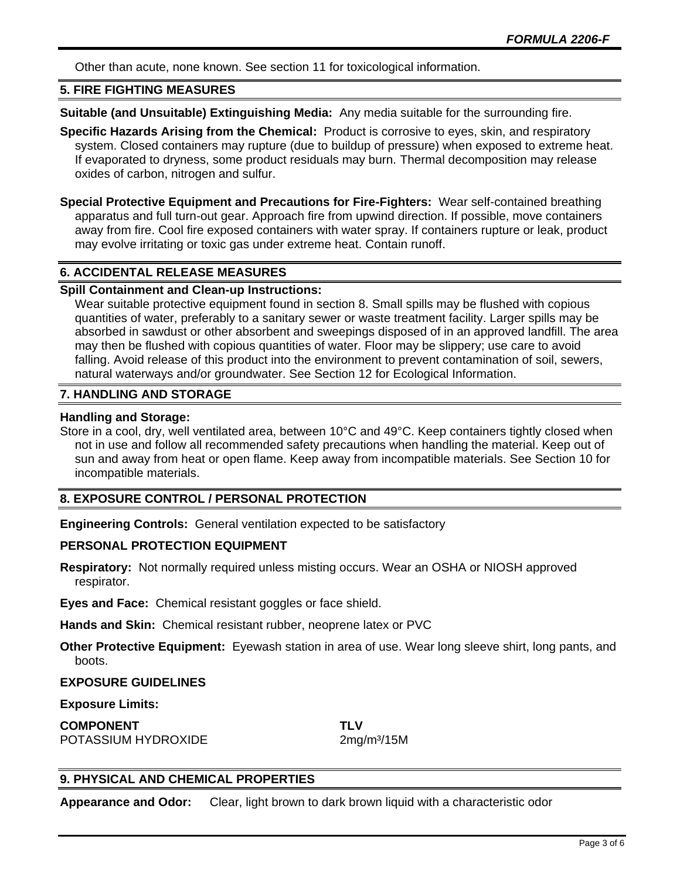Other than acute, none known. See section 11 for toxicological information.

#### **5. FIRE FIGHTING MEASURES**

**Suitable (and Unsuitable) Extinguishing Media:** Any media suitable for the surrounding fire.

**Specific Hazards Arising from the Chemical:** Product is corrosive to eyes, skin, and respiratory system. Closed containers may rupture (due to buildup of pressure) when exposed to extreme heat. If evaporated to dryness, some product residuals may burn. Thermal decomposition may release oxides of carbon, nitrogen and sulfur.

**Special Protective Equipment and Precautions for Fire-Fighters:** Wear self-contained breathing apparatus and full turn-out gear. Approach fire from upwind direction. If possible, move containers away from fire. Cool fire exposed containers with water spray. If containers rupture or leak, product may evolve irritating or toxic gas under extreme heat. Contain runoff.

#### **6. ACCIDENTAL RELEASE MEASURES**

#### **Spill Containment and Clean-up Instructions:**

Wear suitable protective equipment found in section 8. Small spills may be flushed with copious quantities of water, preferably to a sanitary sewer or waste treatment facility. Larger spills may be absorbed in sawdust or other absorbent and sweepings disposed of in an approved landfill. The area may then be flushed with copious quantities of water. Floor may be slippery; use care to avoid falling. Avoid release of this product into the environment to prevent contamination of soil, sewers, natural waterways and/or groundwater. See Section 12 for Ecological Information.

#### **7. HANDLING AND STORAGE**

#### **Handling and Storage:**

Store in a cool, dry, well ventilated area, between 10°C and 49°C. Keep containers tightly closed when not in use and follow all recommended safety precautions when handling the material. Keep out of sun and away from heat or open flame. Keep away from incompatible materials. See Section 10 for incompatible materials.

#### **8. EXPOSURE CONTROL / PERSONAL PROTECTION**

**Engineering Controls:** General ventilation expected to be satisfactory

#### **PERSONAL PROTECTION EQUIPMENT**

**Respiratory:** Not normally required unless misting occurs. Wear an OSHA or NIOSH approved respirator.

**Eyes and Face:** Chemical resistant goggles or face shield.

**Hands and Skin:** Chemical resistant rubber, neoprene latex or PVC

**Other Protective Equipment:** Eyewash station in area of use. Wear long sleeve shirt, long pants, and boots.

#### **EXPOSURE GUIDELINES**

#### **Exposure Limits:**

**COMPONENT TLV** POTASSIUM HYDROXIDE 2mg/m<sup>3</sup>/15M

#### **9. PHYSICAL AND CHEMICAL PROPERTIES**

**Appearance and Odor:** Clear, light brown to dark brown liquid with a characteristic odor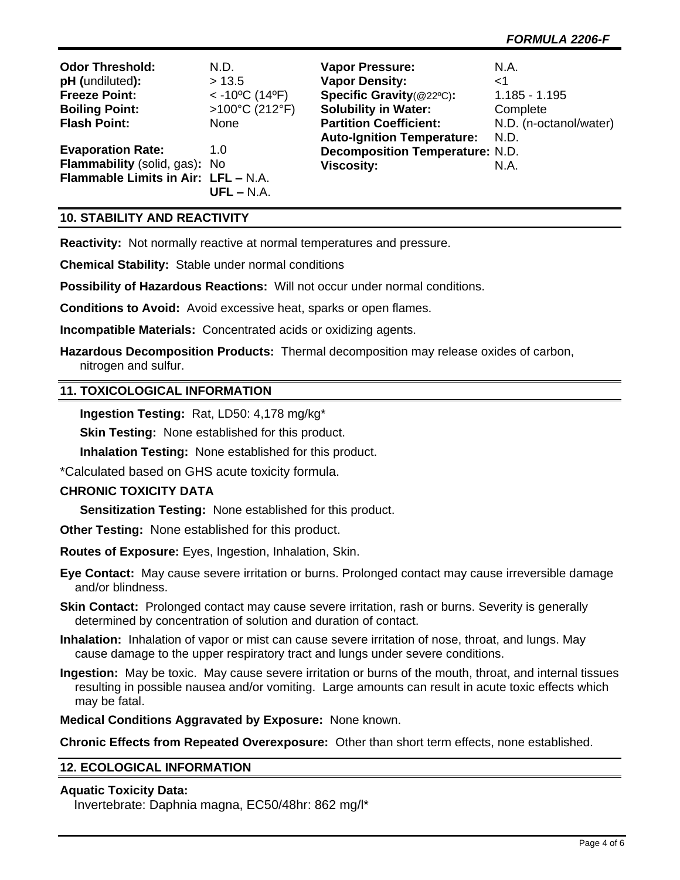| <b>Odor Threshold:</b>              | N.D.                                       | <b>Vapor Pressure:</b>                 | N.A.                   |
|-------------------------------------|--------------------------------------------|----------------------------------------|------------------------|
| pH (undiluted):                     | > 13.5                                     | <b>Vapor Density:</b>                  | ا>                     |
| <b>Freeze Point:</b>                | $<$ -10 <sup>o</sup> C (14 <sup>o</sup> F) | Specific Gravity(@22°C):               | $1.185 - 1.195$        |
| <b>Boiling Point:</b>               | >100°C (212°F)                             | <b>Solubility in Water:</b>            | Complete               |
| <b>Flash Point:</b>                 | None                                       | <b>Partition Coefficient:</b>          | N.D. (n-octanol/water) |
|                                     |                                            | <b>Auto-Ignition Temperature:</b>      | N.D.                   |
| <b>Evaporation Rate:</b>            | 1.0                                        | <b>Decomposition Temperature: N.D.</b> |                        |
| Flammability (solid, gas): No       |                                            | <b>Viscosity:</b>                      | N.A.                   |
| Flammable Limits in Air: LFL - N.A. |                                            |                                        |                        |
|                                     | $UFL - N.A.$                               |                                        |                        |

#### **10. STABILITY AND REACTIVITY**

**Reactivity:** Not normally reactive at normal temperatures and pressure.

**Chemical Stability:** Stable under normal conditions

**Possibility of Hazardous Reactions:** Will not occur under normal conditions.

**Conditions to Avoid:** Avoid excessive heat, sparks or open flames.

**Incompatible Materials:** Concentrated acids or oxidizing agents.

**Hazardous Decomposition Products:** Thermal decomposition may release oxides of carbon, nitrogen and sulfur.

#### **11. TOXICOLOGICAL INFORMATION**

**Ingestion Testing:** Rat, LD50: 4,178 mg/kg\*

**Skin Testing:** None established for this product.

**Inhalation Testing:** None established for this product.

\*Calculated based on GHS acute toxicity formula.

#### **CHRONIC TOXICITY DATA**

**Sensitization Testing:** None established for this product.

**Other Testing:** None established for this product.

**Routes of Exposure:** Eyes, Ingestion, Inhalation, Skin.

**Eye Contact:** May cause severe irritation or burns. Prolonged contact may cause irreversible damage and/or blindness.

- **Skin Contact:** Prolonged contact may cause severe irritation, rash or burns. Severity is generally determined by concentration of solution and duration of contact.
- **Inhalation:** Inhalation of vapor or mist can cause severe irritation of nose, throat, and lungs. May cause damage to the upper respiratory tract and lungs under severe conditions.
- **Ingestion:** May be toxic. May cause severe irritation or burns of the mouth, throat, and internal tissues resulting in possible nausea and/or vomiting. Large amounts can result in acute toxic effects which may be fatal.

**Medical Conditions Aggravated by Exposure:** None known.

**Chronic Effects from Repeated Overexposure:** Other than short term effects, none established.

#### **12. ECOLOGICAL INFORMATION**

#### **Aquatic Toxicity Data:**

Invertebrate: Daphnia magna, EC50/48hr: 862 mg/l\*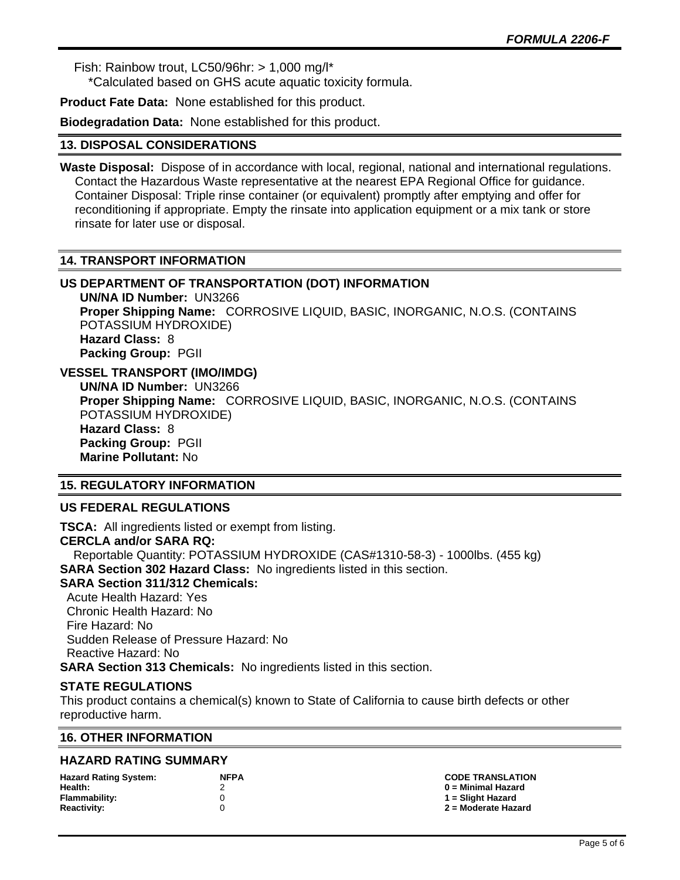Fish: Rainbow trout, LC50/96hr: > 1,000 mg/l\*

\*Calculated based on GHS acute aquatic toxicity formula.

**Product Fate Data:** None established for this product.

**Biodegradation Data:** None established for this product.

#### **13. DISPOSAL CONSIDERATIONS**

**Waste Disposal:** Dispose of in accordance with local, regional, national and international regulations. Contact the Hazardous Waste representative at the nearest EPA Regional Office for guidance. Container Disposal: Triple rinse container (or equivalent) promptly after emptying and offer for reconditioning if appropriate. Empty the rinsate into application equipment or a mix tank or store rinsate for later use or disposal.

#### **14. TRANSPORT INFORMATION**

### **US DEPARTMENT OF TRANSPORTATION (DOT) INFORMATION**

**UN/NA ID Number:** UN3266 **Proper Shipping Name:** CORROSIVE LIQUID, BASIC, INORGANIC, N.O.S. (CONTAINS POTASSIUM HYDROXIDE) **Hazard Class:** 8 **Packing Group:** PGII

### **VESSEL TRANSPORT (IMO/IMDG)**

**UN/NA ID Number:** UN3266 **Proper Shipping Name:** CORROSIVE LIQUID, BASIC, INORGANIC, N.O.S. (CONTAINS POTASSIUM HYDROXIDE) **Hazard Class:** 8 **Packing Group:** PGII **Marine Pollutant:** No

#### **15. REGULATORY INFORMATION**

#### **US FEDERAL REGULATIONS**

**TSCA:** All ingredients listed or exempt from listing. **CERCLA and/or SARA RQ:**  Reportable Quantity: POTASSIUM HYDROXIDE (CAS#1310-58-3) - 1000lbs. (455 kg) **SARA Section 302 Hazard Class:** No ingredients listed in this section. **SARA Section 311/312 Chemicals:**  Acute Health Hazard: Yes Chronic Health Hazard: No Fire Hazard: No Sudden Release of Pressure Hazard: No Reactive Hazard: No **SARA Section 313 Chemicals:** No ingredients listed in this section.

#### **STATE REGULATIONS**

This product contains a chemical(s) known to State of California to cause birth defects or other reproductive harm.

#### **16. OTHER INFORMATION**

#### **HAZARD RATING SUMMARY**

| <b>Hazard Rating System:</b> | <b>NFPA</b> |
|------------------------------|-------------|
| Health:                      | 2           |
| Flammability:                | 0           |
| Reactivity:                  | O           |

**Hazard Rating System: NFPA CODE TRANSLATION Health:** 2 **0 = Minimal Hazard Flammability:** 0 **1 = Slight Hazard Reactivity:** 0 **2 = Moderate Hazard**